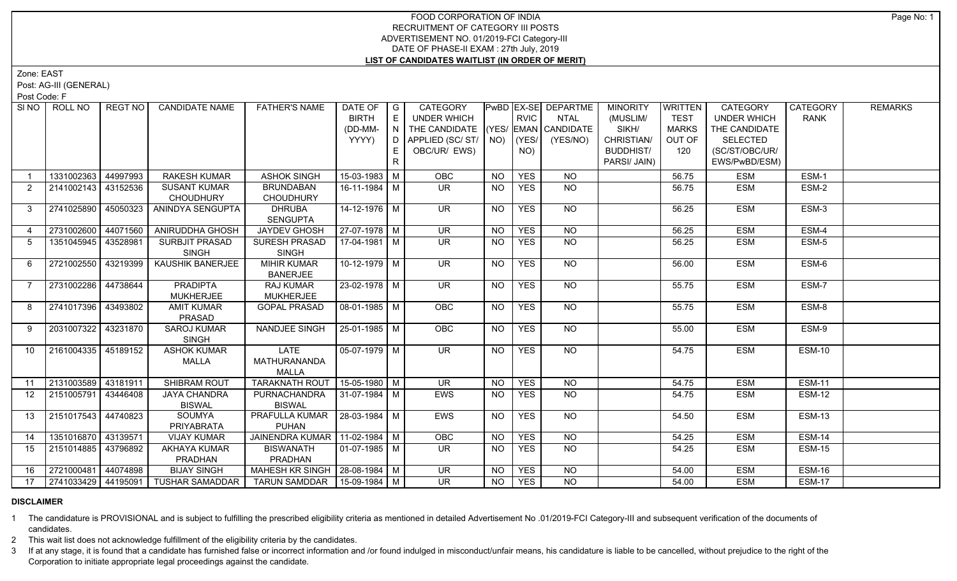## FOOD CORPORATION OF INDIA RECRUITMENT OF CATEGORY III POSTS ADVERTISEMENT NO. 01/2019-FCI Category-III DATE OF PHASE-II EXAM : 27th July, 2019 **LIST OF CANDIDATES WAITLIST (IN ORDER OF MERIT)**

Zone: EAST

Post: AG-III (GENERAL)

Post Code: F

| SI <sub>NO</sub> | ROLL NO               | REGT NO  | <b>CANDIDATE NAME</b>              | <b>FATHER'S NAME</b>             | DATE OF            | $\overline{\phantom{a}}$ G | CATEGORY                           |                |             | <b>PWBD EX-SE DEPARTME</b> | <b>MINORITY</b>  | WRITTEN      | <b>CATEGORY</b>    | <b>CATEGORY</b> | <b>REMARKS</b> |
|------------------|-----------------------|----------|------------------------------------|----------------------------------|--------------------|----------------------------|------------------------------------|----------------|-------------|----------------------------|------------------|--------------|--------------------|-----------------|----------------|
|                  |                       |          |                                    |                                  | <b>BIRTH</b>       | E                          | UNDER WHICH                        |                | <b>RVIC</b> | <b>NTAL</b>                | (MUSLIM/         | <b>TEST</b>  | <b>UNDER WHICH</b> | <b>RANK</b>     |                |
|                  |                       |          |                                    |                                  | (DD-MM-            | N                          | THE CANDIDATE (YES/ EMAN CANDIDATE |                |             |                            | SIKH/            | <b>MARKS</b> | THE CANDIDATE      |                 |                |
|                  |                       |          |                                    |                                  | YYYY)              | D.                         | APPLIED (SC/ST/ NO)                |                | (YES/       | (YES/NO)                   | CHRISTIAN/       | OUT OF       | <b>SELECTED</b>    |                 |                |
|                  |                       |          |                                    |                                  |                    |                            | OBC/UR/ EWS)                       |                | NO)         |                            | <b>BUDDHIST/</b> | 120          | (SC/ST/OBC/UR/     |                 |                |
|                  |                       |          |                                    |                                  |                    | R.                         |                                    |                |             |                            | PARSI/ JAIN)     |              | EWS/PwBD/ESM)      |                 |                |
|                  | 1331002363            | 44997993 | <b>RAKESH KUMAR</b>                | <b>ASHOK SINGH</b>               | 15-03-1983 M       |                            | OBC                                | <b>NO</b>      | <b>YES</b>  | <b>NO</b>                  |                  | 56.75        | <b>ESM</b>         | ESM-1           |                |
| 2                | 2141002143 43152536   |          | <b>SUSANT KUMAR</b>                | <b>BRUNDABAN</b>                 | $16-11-1984$ M     |                            | <b>UR</b>                          | <b>NO</b>      | <b>YES</b>  | NO                         |                  | 56.75        | <b>ESM</b>         | ESM-2           |                |
|                  |                       |          | <b>CHOUDHURY</b>                   | <b>CHOUDHURY</b>                 |                    |                            |                                    |                |             |                            |                  |              |                    |                 |                |
| $\mathbf{3}$     | 2741025890            | 45050323 | ANINDYA SENGUPTA                   | DHRUBA<br><b>SENGUPTA</b>        | 14-12-1976 M       |                            | UR.                                | <b>NO</b>      | <b>YES</b>  | NO                         |                  | 56.25        | <b>ESM</b>         | ESM-3           |                |
| $\overline{4}$   | 2731002600            | 44071560 | <b>ANIRUDDHA GHOSH</b>             | <b>JAYDEV GHOSH</b>              | 27-07-1978   M     |                            | $\overline{\mathsf{UR}}$           | N <sub>O</sub> | <b>YES</b>  | N <sub>O</sub>             |                  | 56.25        | <b>ESM</b>         | ESM-4           |                |
| 5                | 1351045945 43528981   |          | <b>SURBJIT PRASAD</b>              | SURESH PRASAD                    | 17-04-1981   M     |                            | $\overline{\mathsf{UR}}$           | NO             | <b>YES</b>  | <b>NO</b>                  |                  | 56.25        | <b>ESM</b>         | ESM-5           |                |
|                  |                       |          | <b>SINGH</b>                       | <b>SINGH</b>                     |                    |                            |                                    |                |             |                            |                  |              |                    |                 |                |
| 6                | 2721002550 43219399   |          | KAUSHIK BANERJEE                   | <b>MIHIR KUMAR</b>               | $10-12-1979$ M     |                            | <b>UR</b>                          | <b>NO</b>      | <b>YES</b>  | NO                         |                  | 56.00        | <b>ESM</b>         | ESM-6           |                |
|                  |                       |          |                                    | <b>BANERJEE</b>                  |                    |                            |                                    |                |             |                            |                  |              |                    |                 |                |
| $\overline{7}$   | 2731002286            | 44738644 | <b>PRADIPTA</b>                    | <b>RAJ KUMAR</b>                 | $23 - 02 - 1978$ M |                            | $\overline{\mathsf{UR}}$           | <b>NO</b>      | <b>YES</b>  | NO                         |                  | 55.75        | <b>ESM</b>         | ESM-7           |                |
|                  |                       |          | <b>MUKHERJEE</b>                   | <b>MUKHERJEE</b>                 |                    |                            |                                    |                |             |                            |                  |              |                    |                 |                |
| 8                | 2741017396            | 43493802 | <b>AMIT KUMAR</b>                  | <b>GOPAL PRASAD</b>              | 08-01-1985 M       |                            | <b>OBC</b>                         | <b>NO</b>      | <b>YES</b>  | NO                         |                  | 55.75        | <b>ESM</b>         | ESM-8           |                |
|                  |                       |          | PRASAD                             |                                  |                    |                            |                                    |                |             |                            |                  |              |                    |                 |                |
| 9                | 2031007322 43231870   |          | <b>SAROJ KUMAR</b><br><b>SINGH</b> | NANDJEE SINGH                    | 25-01-1985 M       |                            | OBC                                | <b>NO</b>      | <b>YES</b>  | <b>NO</b>                  |                  | 55.00        | <b>ESM</b>         | ESM-9           |                |
| 10 <sup>°</sup>  | 2161004335 45189152   |          | <b>ASHOK KUMAR</b>                 | <b>LATE</b>                      | $05-07-1979$ M     |                            | UR                                 | <b>NO</b>      | <b>YES</b>  | N <sub>O</sub>             |                  | 54.75        | <b>ESM</b>         | <b>ESM-10</b>   |                |
|                  |                       |          | MALLA                              | MATHURANANDA                     |                    |                            |                                    |                |             |                            |                  |              |                    |                 |                |
|                  |                       |          |                                    | <b>MALLA</b>                     |                    |                            |                                    |                |             |                            |                  |              |                    |                 |                |
| 11               | 2131003589 43181911   |          | <b>SHIBRAM ROUT</b>                | TARAKNATH ROUT   15-05-1980   M  |                    |                            | <b>UR</b>                          | <b>NO</b>      | <b>YES</b>  | <b>NO</b>                  |                  | 54.75        | <b>ESM</b>         | <b>ESM-11</b>   |                |
| 12 <sup>2</sup>  | 2151005791 43446408   |          | <b>JAYA CHANDRA</b>                | PURNACHANDRA                     | 31-07-1984 M       |                            | EWS                                | <b>NO</b>      | <b>YES</b>  | <b>NO</b>                  |                  | 54.75        | <b>ESM</b>         | <b>ESM-12</b>   |                |
|                  |                       |          | <b>BISWAL</b>                      | <b>BISWAL</b>                    |                    |                            |                                    |                |             |                            |                  |              |                    |                 |                |
| 13               | 2151017543   44740823 |          | <b>SOUMYA</b>                      | PRAFULLA KUMAR   28-03-1984   M  |                    |                            | <b>EWS</b>                         | <b>NO</b>      | <b>YES</b>  | NO.                        |                  | 54.50        | <b>ESM</b>         | <b>ESM-13</b>   |                |
|                  |                       |          | PRIYABRATA                         | <b>PUHAN</b>                     |                    |                            |                                    |                |             |                            |                  |              |                    |                 |                |
| 14               | 1351016870 43139571   |          | <b>VIJAY KUMAR</b>                 | JAINENDRA KUMAR   11-02-1984   M |                    |                            | OBC                                | <b>NO</b>      | <b>YES</b>  | N <sub>O</sub>             |                  | 54.25        | <b>ESM</b>         | <b>ESM-14</b>   |                |
| 15               | 2151014885   43796892 |          | <b>AKHAYA KUMAR</b>                | <b>BISWANATH</b>                 | $01-07-1985$ M     |                            | <b>UR</b>                          | <b>NO</b>      | <b>YES</b>  | NO.                        |                  | 54.25        | <b>ESM</b>         | ESM-15          |                |
|                  |                       |          | PRADHAN                            | <b>PRADHAN</b>                   |                    |                            |                                    |                |             |                            |                  |              |                    |                 |                |
| 16               | 2721000481 44074898   |          | <b>BIJAY SINGH</b>                 | MAHESH KR SINGH   28-08-1984   M |                    |                            | <b>UR</b>                          | <b>NO</b>      | <b>YES</b>  | <b>NO</b>                  |                  | 54.00        | <b>ESM</b>         | <b>ESM-16</b>   |                |
| 17               | 2741033429 44195091   |          | <b>TUSHAR SAMADDAR</b>             | TARUN SAMDDAR   15-09-1984   M   |                    |                            | $\overline{\mathsf{UR}}$           | <b>NO</b>      | <b>YES</b>  | $\overline{NO}$            |                  | 54.00        | <b>ESM</b>         | <b>ESM-17</b>   |                |

## **DISCLAIMER**

1 The candidature is PROVISIONAL and is subject to fulfilling the prescribed eligibility criteria as mentioned in detailed Advertisement No .01/2019-FCI Category-III and subsequent verification of the documents of candidates.

2 This wait list does not acknowledge fulfillment of the eligibility criteria by the candidates.

3 If at any stage, it is found that a candidate has furnished false or incorrect information and /or found indulged in misconduct/unfair means, his candidature is liable to be cancelled, without prejudice to the right of t Corporation to initiate appropriate legal proceedings against the candidate.

Page No: 1